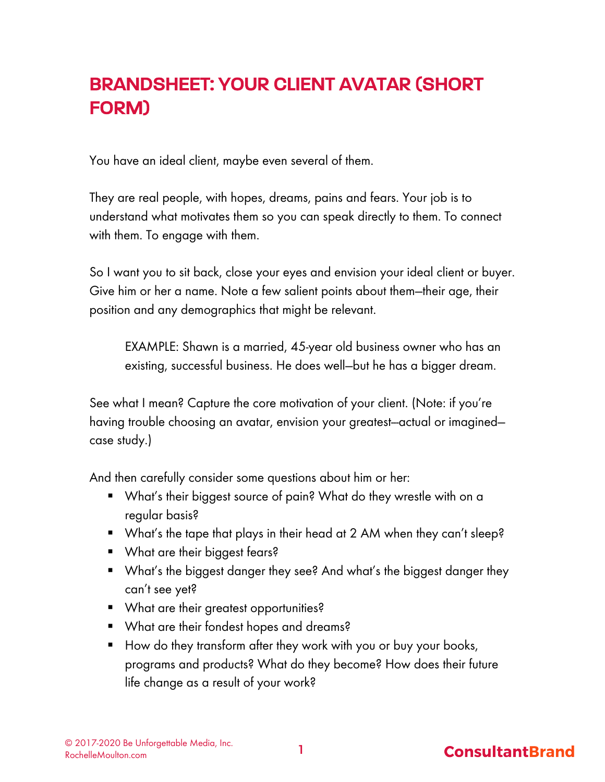# BRANDSHEET: YOUR CLIENT AVATAR (SHORT FORM)

You have an ideal client, maybe even several of them.

They are real people, with hopes, dreams, pains and fears. Your job is to understand what motivates them so you can speak directly to them. To connect with them. To engage with them.

So I want you to sit back, close your eyes and envision your ideal client or buyer. Give him or her a name. Note a few salient points about them—their age, their position and any demographics that might be relevant.

EXAMPLE: Shawn is a married, 45-year old business owner who has an existing, successful business. He does well—but he has a bigger dream.

See what I mean? Capture the core motivation of your client. (Note: if you're having trouble choosing an avatar, envision your greatest--actual or imaginedcase study.)

And then carefully consider some questions about him or her:

- What's their biggest source of pain? What do they wrestle with on a regular basis?
- What's the tape that plays in their head at 2 AM when they can't sleep?
- What are their biggest fears?
- What's the biggest danger they see? And what's the biggest danger they can't see yet?
- What are their greatest opportunities?
- § What are their fondest hopes and dreams?
- How do they transform after they work with you or buy your books, programs and products? What do they become? How does their future life change as a result of your work?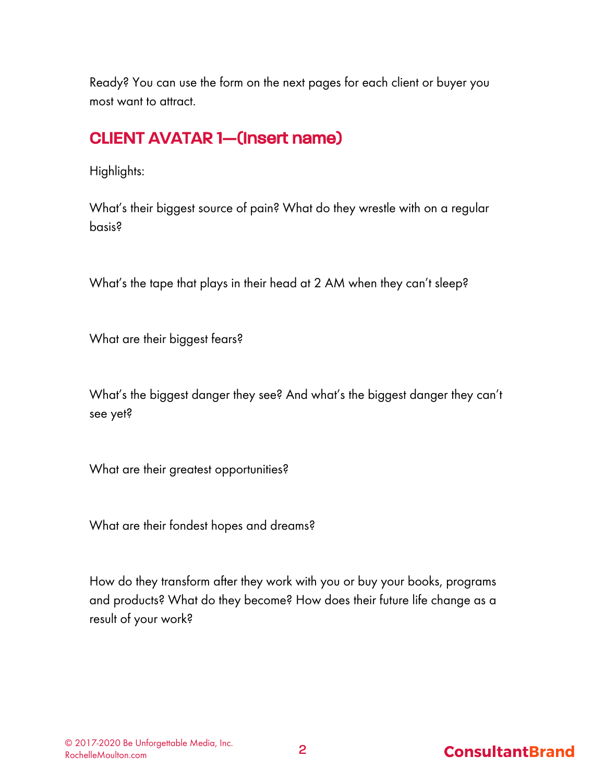Ready? You can use the form on the next pages for each client or buyer you most want to attract.

# CLIENT AVATAR 1—(Insert name)

Highlights:

What's their biggest source of pain? What do they wrestle with on a regular basis?

What's the tape that plays in their head at 2 AM when they can't sleep?

What are their biggest fears?

What's the biggest danger they see? And what's the biggest danger they can't see yet?

What are their greatest opportunities?

What are their fondest hopes and dreams?

How do they transform after they work with you or buy your books, programs and products? What do they become? How does their future life change as a result of your work?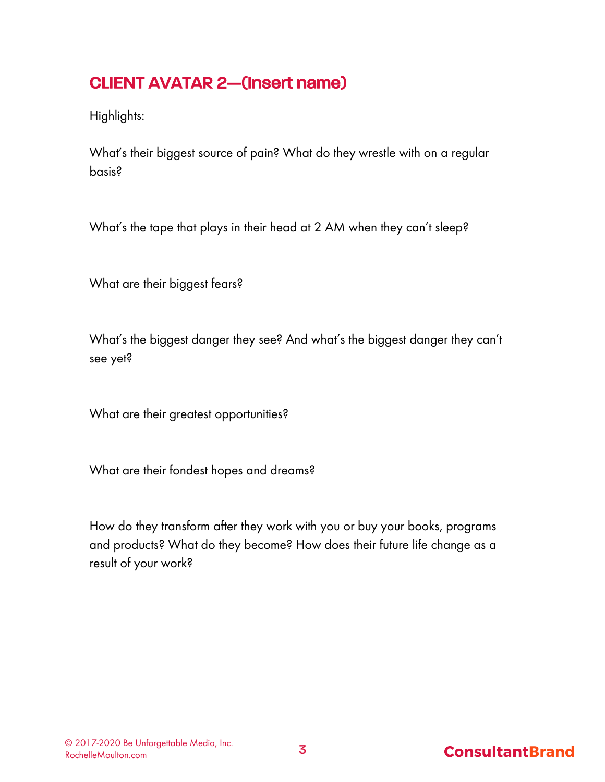# CLIENT AVATAR 2—(Insert name)

Highlights:

What's their biggest source of pain? What do they wrestle with on a regular basis?

What's the tape that plays in their head at 2 AM when they can't sleep?

What are their biggest fears?

What's the biggest danger they see? And what's the biggest danger they can't see yet?

What are their greatest opportunities?

What are their fondest hopes and dreams?

How do they transform after they work with you or buy your books, programs and products? What do they become? How does their future life change as a result of your work?